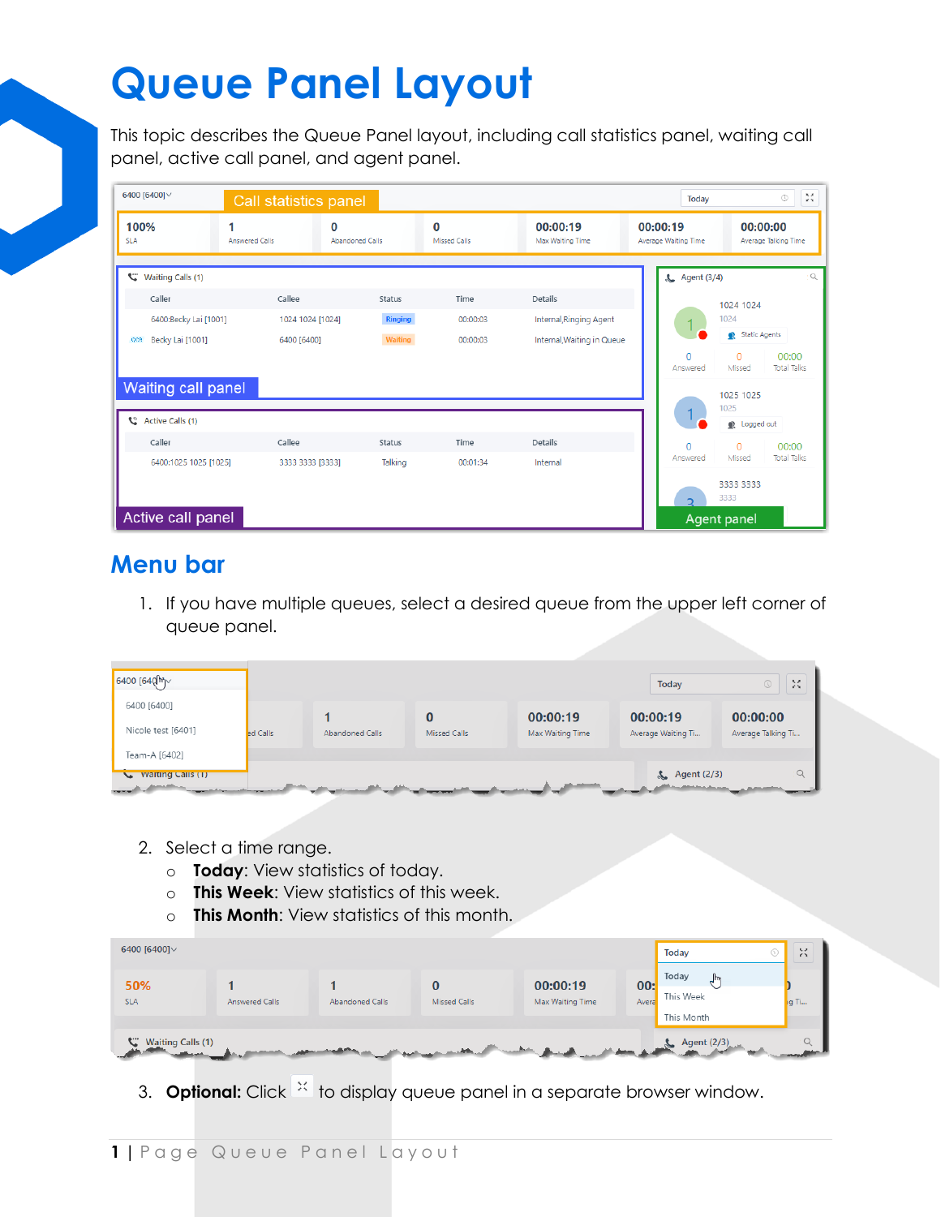This topic describes the Queue Panel layout, including call statistics panel, waiting call panel, active call panel, and agent panel.

| 6400 [6400] $\vee$             | Call statistics panel      |                             |                          |                              | Today                            | $\frac{1}{2} \frac{1}{2}$<br>$_{\odot}$           |
|--------------------------------|----------------------------|-----------------------------|--------------------------|------------------------------|----------------------------------|---------------------------------------------------|
| 100%<br><b>SLA</b>             | 1<br><b>Answered Calls</b> | 0<br><b>Abandoned Calls</b> | 0<br><b>Missed Calls</b> | 00:00:19<br>Max Waiting Time | 00:00:19<br>Average Waiting Time | 00:00:00<br>Average Talking Time                  |
| C.<br><b>Waiting Calls (1)</b> |                            |                             |                          |                              | <b>&amp;</b> Agent (3/4)         | $\alpha$                                          |
| Caller                         | Callee                     | <b>Status</b>               | Time                     | Details                      |                                  | 1024 1024                                         |
| 6400:Becky Lai [1001]          | 1024 1024 [1024]           | <b>Ringing</b>              | 00:00:03                 | Internal, Ringing Agent      |                                  | 1024                                              |
| Becky Lai [1001]<br>CCR        | 6400 [6400]                | <b>Waiting</b>              | 00:00:03                 | Internal, Waiting in Queue   |                                  | Static Agents                                     |
|                                |                            |                             |                          |                              | $\overline{0}$<br>Answered       | $\Omega$<br>00:00<br><b>Total Talks</b><br>Missed |
| Waiting call panel             |                            |                             |                          |                              |                                  |                                                   |
|                                |                            |                             |                          |                              | $\mathbf 1$                      | 1025 1025<br>1025                                 |
| C<br><b>Active Calls (1)</b>   |                            |                             |                          |                              |                                  | Logged out                                        |
| Caller                         | Callee                     | Status                      | Time                     | <b>Details</b>               | $\overline{0}$                   | $\mathbf{0}$<br>00:00                             |
| 6400:1025 1025 [1025]          | 3333 3333 [3333]           | Talking                     | 00:01:34                 | Internal                     | Answered                         | <b>Total Talks</b><br>Missed                      |
|                                |                            |                             |                          |                              |                                  | 3333 3333<br>3333                                 |
| Active call panel              |                            |                             |                          |                              |                                  | <b>Agent panel</b>                                |

### **Menu bar**

1. If you have multiple queues, select a desired queue from the upper left corner of queue panel.

| $\sqrt{6400}$ [64 $\mathbb{Q}$ m $\sim$                   |          |                 |                     |                  | Today              | $\mathcal{M}$<br>$\odot$ |
|-----------------------------------------------------------|----------|-----------------|---------------------|------------------|--------------------|--------------------------|
| 6400 [6400]                                               |          |                 |                     | 00:00:19         | 00:00:19           | 00:00:00                 |
| Nicole test [6401]                                        | ed Calls | Abandoned Calls | <b>Missed Calls</b> | Max Waiting Time | Average Waiting Ti | Average Talking Ti       |
| Team-A [6402]                                             |          |                 |                     |                  |                    |                          |
| <b>Waiting Calls (1)</b><br>$\sqrt{2}$<br><b>SAMARING</b> |          |                 |                     |                  | $\sum$ Agent (2/3) | $\alpha$                 |

- 2. Select a time range.
	- o **Today**: View statistics of today.
	- o **This Week**: View statistics of this week.
	- o **This Month**: View statistics of this month.

| 6400 [6400] $\vee$            |                |                 |              |                              |              | <b>Today</b>                     | 5.2<br>$\sim$ |
|-------------------------------|----------------|-----------------|--------------|------------------------------|--------------|----------------------------------|---------------|
| 50%<br><b>SLA</b>             | Answered Calls | Abandoned Calls | Missed Calls | 00:00:19<br>Max Waiting Time | 00:<br>Avera | Today<br>This Week<br>This Month | <b>i</b> g Ti |
| ᢟ<br><b>Waiting Calls (1)</b> |                |                 |              |                              |              | $\sim$ Agent (2/3)               |               |

3. **Optional:** Click  $\frac{1}{2}$  to display queue panel in a separate browser window.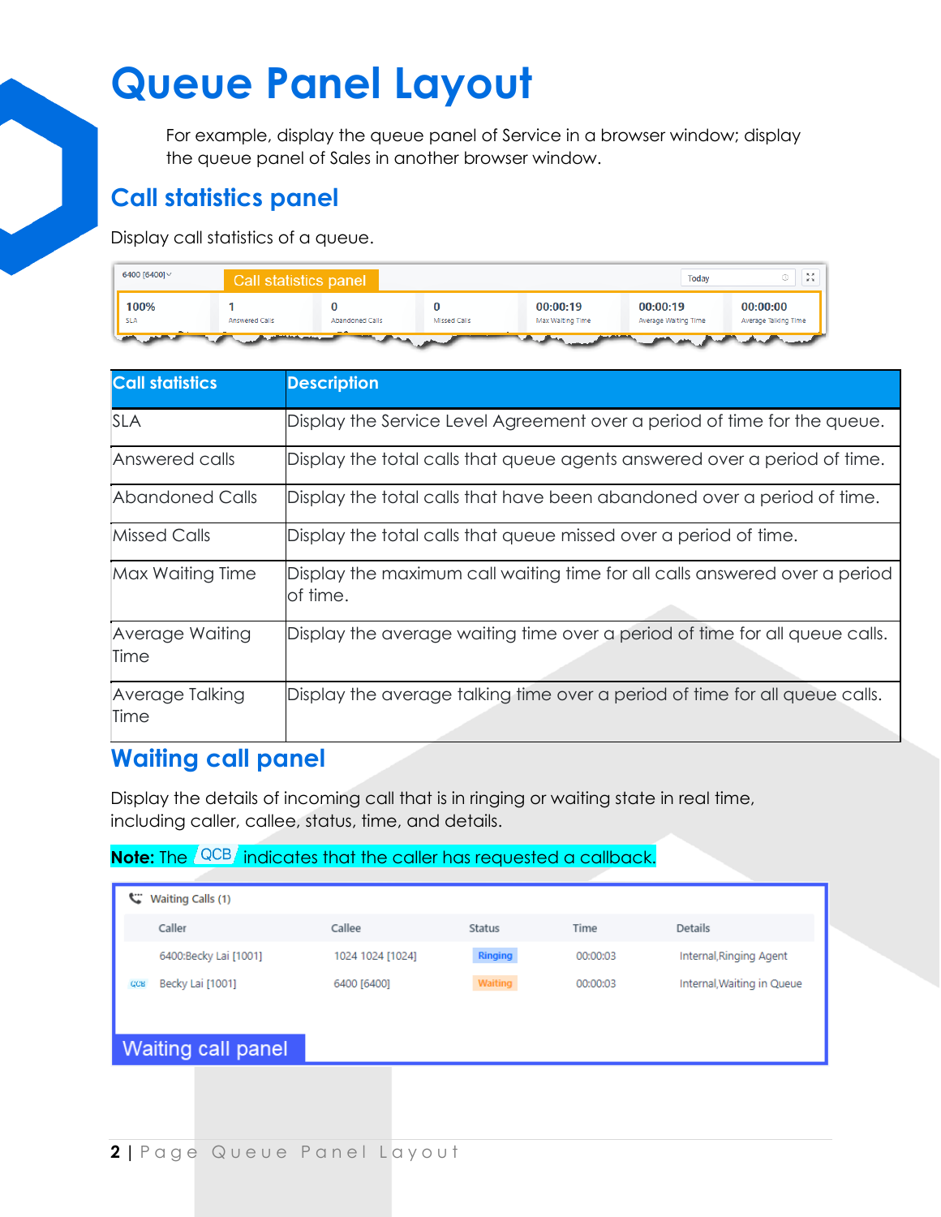For example, display the queue panel of Service in a browser window; display the queue panel of Sales in another browser window.

### **Call statistics panel**

Display call statistics of a queue.



| <b>Call statistics</b>  | <b>Description</b>                                                                     |
|-------------------------|----------------------------------------------------------------------------------------|
| <b>SLA</b>              | Display the Service Level Agreement over a period of time for the queue.               |
| Answered calls          | Display the total calls that queue agents answered over a period of time.              |
| Abandoned Calls         | Display the total calls that have been abandoned over a period of time.                |
| <b>Missed Calls</b>     | Display the total calls that queue missed over a period of time.                       |
| Max Waiting Time        | Display the maximum call waiting time for all calls answered over a period<br>of time. |
| Average Waiting<br>Time | Display the average waiting time over a period of time for all queue calls.            |
| Average Talking<br>Time | Display the average talking time over a period of time for all queue calls.            |

### **Waiting call panel**

Display the details of incoming call that is in ringing or waiting state in real time, including caller, callee, status, time, and details.

#### **Note:** The <sup>QCB</sup> indicates that the caller has requested a callback.

| c<br>Waiting Calls (1)         |                  |                |          |                            |  |
|--------------------------------|------------------|----------------|----------|----------------------------|--|
| Caller                         | Callee           | <b>Status</b>  | Time     | Details                    |  |
| 6400:Becky Lai [1001]          | 1024 1024 [1024] | <b>Ringing</b> | 00:00:03 | Internal, Ringing Agent    |  |
| Becky Lai [1001]<br><b>CCB</b> | 6400 [6400]      | Waiting        | 00:00:03 | Internal, Waiting in Queue |  |
|                                |                  |                |          |                            |  |
| <b>Waiting call panel</b>      |                  |                |          |                            |  |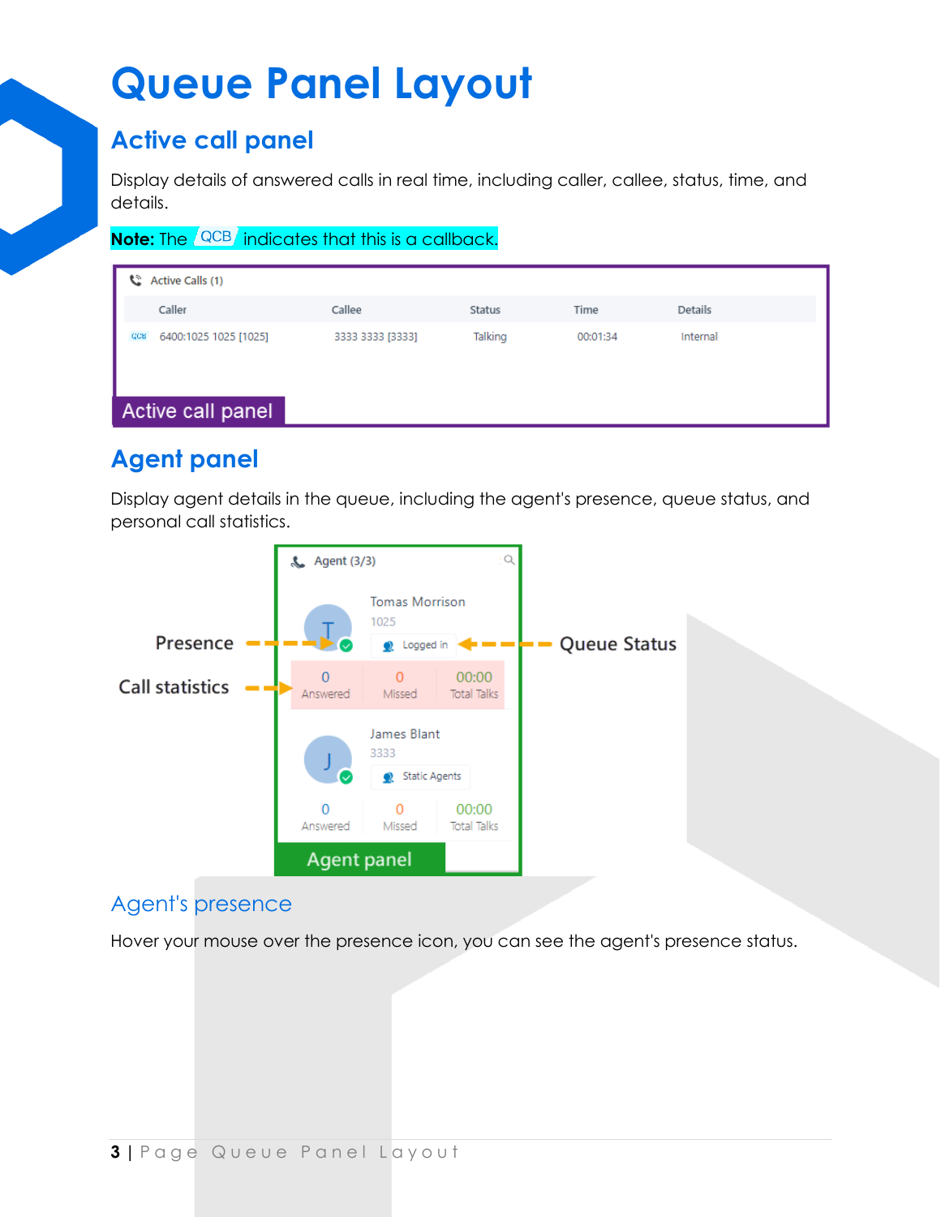### **Active call panel**

Display details of answered calls in real time, including caller, callee, status, time, and details.

**Note:** The <sup>QCB</sup> indicates that this is a callback.

|            | C Active Calls (1)    |                  |         |          |          |
|------------|-----------------------|------------------|---------|----------|----------|
|            | Caller                | Callee           | Status  | Time     | Details  |
| <b>GCB</b> | 6400:1025 1025 [1025] | 3333 3333 [3333] | Talking | 00:01:34 | Internal |
|            | Active call panel     |                  |         |          |          |

## **Agent panel**

Display agent details in the queue, including the agent's presence, queue status, and personal call statistics.



### Agent's presence

Hover your mouse over the presence icon, you can see the agent's presence status.